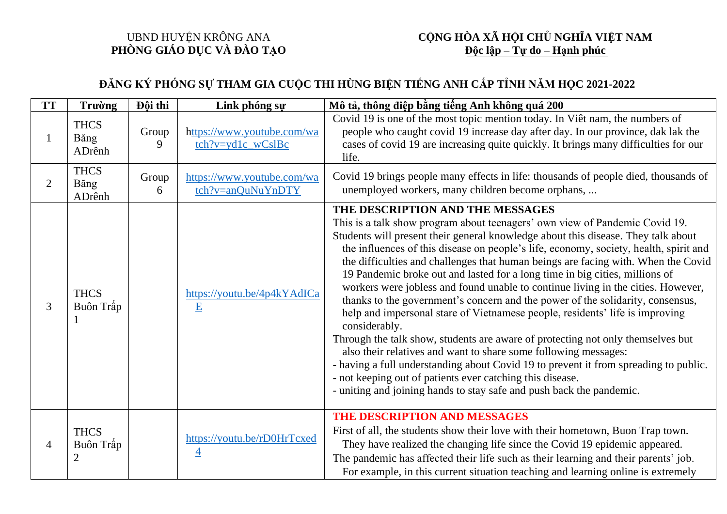## UBND HUYỆN KRÔNG ANA **PHÒNG GIÁO DỤC VÀ ĐÀO TẠO**

## **CỘNG HÒA XÃ HỘI CHỦ NGHĨA VIỆT NAM Độc lập – Tự do – Hạnh phúc**

## **ĐĂNG KÝ PHÓNG SỰ THAM GIA CUỘC THI HÙNG BIỆN TIẾNG ANH CẤP TỈNH NĂM HỌC 2021-2022**

| <b>TT</b>      | <b>Trường</b>                              | Đội thi    | Link phóng sự                                                                    | Mô tả, thông điệp bằng tiếng Anh không quá 200                                                                                                                                                                                                                                                                                                                                                                                                                                                                                                                                                                                                                                                                                                                                                                                                                                                                                                                                                                                                                                                                              |
|----------------|--------------------------------------------|------------|----------------------------------------------------------------------------------|-----------------------------------------------------------------------------------------------------------------------------------------------------------------------------------------------------------------------------------------------------------------------------------------------------------------------------------------------------------------------------------------------------------------------------------------------------------------------------------------------------------------------------------------------------------------------------------------------------------------------------------------------------------------------------------------------------------------------------------------------------------------------------------------------------------------------------------------------------------------------------------------------------------------------------------------------------------------------------------------------------------------------------------------------------------------------------------------------------------------------------|
|                | <b>THCS</b><br>Băng<br>ADrênh              | Group<br>9 | https://www.youtube.com/wa<br>$\frac{\text{tch?v} = \text{yd1c}}{\text{wCslBc}}$ | Covid 19 is one of the most topic mention today. In Viêt nam, the numbers of<br>people who caught covid 19 increase day after day. In our province, dak lak the<br>cases of covid 19 are increasing quite quickly. It brings many difficulties for our<br>life.                                                                                                                                                                                                                                                                                                                                                                                                                                                                                                                                                                                                                                                                                                                                                                                                                                                             |
| $\overline{2}$ | <b>THCS</b><br>Băng<br>ADrênh              | Group<br>6 | https://www.youtube.com/wa<br>tch?v=anQuNuYnDTY                                  | Covid 19 brings people many effects in life: thousands of people died, thousands of<br>unemployed workers, many children become orphans,                                                                                                                                                                                                                                                                                                                                                                                                                                                                                                                                                                                                                                                                                                                                                                                                                                                                                                                                                                                    |
| 3              | <b>THCS</b><br>Buôn Trấp                   |            | https://youtu.be/4p4kYAdICa<br>E                                                 | THE DESCRIPTION AND THE MESSAGES<br>This is a talk show program about teenagers' own view of Pandemic Covid 19.<br>Students will present their general knowledge about this disease. They talk about<br>the influences of this disease on people's life, economy, society, health, spirit and<br>the difficulties and challenges that human beings are facing with. When the Covid<br>19 Pandemic broke out and lasted for a long time in big cities, millions of<br>workers were jobless and found unable to continue living in the cities. However,<br>thanks to the government's concern and the power of the solidarity, consensus,<br>help and impersonal stare of Vietnamese people, residents' life is improving<br>considerably.<br>Through the talk show, students are aware of protecting not only themselves but<br>also their relatives and want to share some following messages:<br>- having a full understanding about Covid 19 to prevent it from spreading to public.<br>- not keeping out of patients ever catching this disease.<br>- uniting and joining hands to stay safe and push back the pandemic. |
| 4              | <b>THCS</b><br>Buôn Trấp<br>$\overline{2}$ |            | https://youtu.be/rD0HrTcxed<br>4                                                 | THE DESCRIPTION AND MESSAGES<br>First of all, the students show their love with their hometown, Buon Trap town.<br>They have realized the changing life since the Covid 19 epidemic appeared.<br>The pandemic has affected their life such as their learning and their parents' job.<br>For example, in this current situation teaching and learning online is extremely                                                                                                                                                                                                                                                                                                                                                                                                                                                                                                                                                                                                                                                                                                                                                    |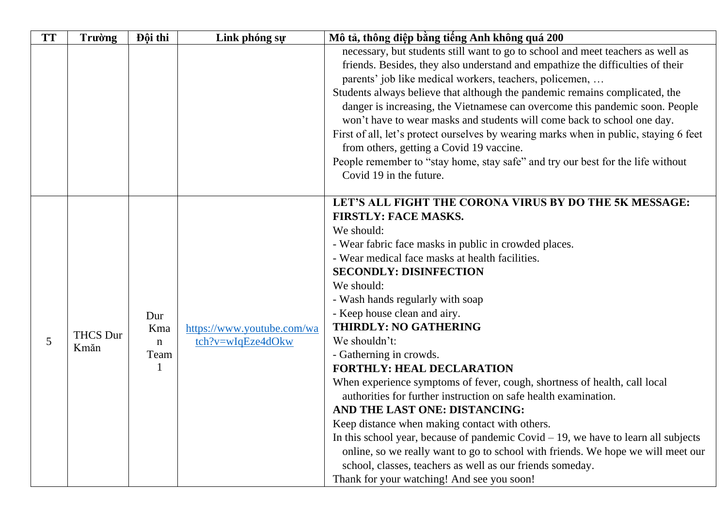| <b>TT</b> | <b>Trường</b>           | Đội thi             | Link phóng sự                                   | Mô tả, thông điệp bằng tiếng Anh không quá 200                                                                                    |
|-----------|-------------------------|---------------------|-------------------------------------------------|-----------------------------------------------------------------------------------------------------------------------------------|
|           |                         |                     |                                                 | necessary, but students still want to go to school and meet teachers as well as                                                   |
|           |                         |                     |                                                 | friends. Besides, they also understand and empathize the difficulties of their                                                    |
|           |                         |                     |                                                 | parents' job like medical workers, teachers, policemen,                                                                           |
|           |                         |                     |                                                 | Students always believe that although the pandemic remains complicated, the                                                       |
|           |                         |                     |                                                 | danger is increasing, the Vietnamese can overcome this pandemic soon. People                                                      |
|           |                         |                     |                                                 | won't have to wear masks and students will come back to school one day.                                                           |
|           |                         |                     |                                                 | First of all, let's protect ourselves by wearing marks when in public, staying 6 feet<br>from others, getting a Covid 19 vaccine. |
|           |                         |                     |                                                 | People remember to "stay home, stay safe" and try our best for the life without<br>Covid 19 in the future.                        |
|           |                         |                     |                                                 |                                                                                                                                   |
|           |                         |                     |                                                 | LET'S ALL FIGHT THE CORONA VIRUS BY DO THE 5K MESSAGE:                                                                            |
|           |                         |                     | https://www.youtube.com/wa<br>tch?v=wIqEze4dOkw | <b>FIRSTLY: FACE MASKS.</b>                                                                                                       |
|           |                         |                     |                                                 | We should:                                                                                                                        |
|           |                         |                     |                                                 | - Wear fabric face masks in public in crowded places.                                                                             |
|           |                         |                     |                                                 | - Wear medical face masks at health facilities.                                                                                   |
|           |                         |                     |                                                 | <b>SECONDLY: DISINFECTION</b>                                                                                                     |
|           |                         |                     |                                                 | We should:                                                                                                                        |
|           |                         |                     |                                                 | - Wash hands regularly with soap                                                                                                  |
|           |                         | Dur                 |                                                 | - Keep house clean and airy.                                                                                                      |
|           |                         | Kma                 |                                                 | <b>THIRDLY: NO GATHERING</b>                                                                                                      |
| 5         | <b>THCS Dur</b><br>Kmăn | $\mathbf n$<br>Team |                                                 | We shouldn't:                                                                                                                     |
|           |                         |                     |                                                 | - Gatherning in crowds.                                                                                                           |
|           |                         |                     |                                                 | <b>FORTHLY: HEAL DECLARATION</b>                                                                                                  |
|           |                         |                     |                                                 | When experience symptoms of fever, cough, shortness of health, call local                                                         |
|           |                         |                     |                                                 | authorities for further instruction on safe health examination.                                                                   |
|           |                         |                     |                                                 | AND THE LAST ONE: DISTANCING:                                                                                                     |
|           |                         |                     |                                                 | Keep distance when making contact with others.                                                                                    |
|           |                         |                     |                                                 | In this school year, because of pandemic Covid $-19$ , we have to learn all subjects                                              |
|           |                         |                     |                                                 | online, so we really want to go to school with friends. We hope we will meet our                                                  |
|           |                         |                     |                                                 | school, classes, teachers as well as our friends someday.                                                                         |
|           |                         |                     |                                                 | Thank for your watching! And see you soon!                                                                                        |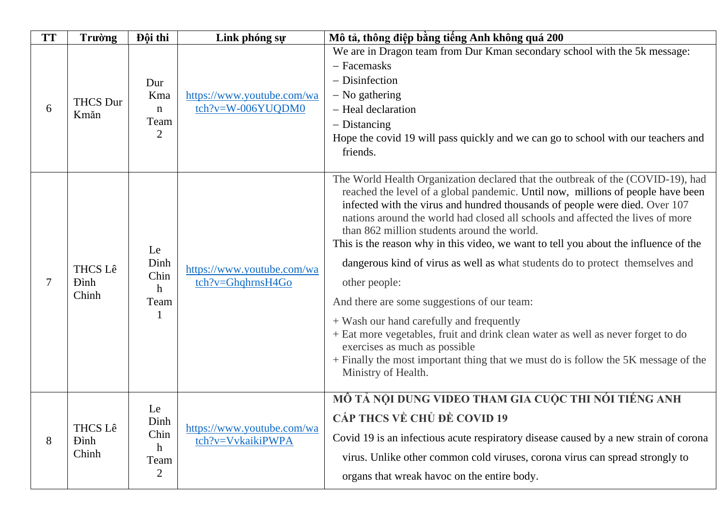| <b>TT</b> | Trường                                  | Đội thi                                                      | Link phóng sự                                   | Mô tả, thông điệp bằng tiếng Anh không quá 200                                                                                                                                                                                                                                                                                                                                                                                                                                                                                                                                                                                                                                                                                                                                                                                                                                                            |
|-----------|-----------------------------------------|--------------------------------------------------------------|-------------------------------------------------|-----------------------------------------------------------------------------------------------------------------------------------------------------------------------------------------------------------------------------------------------------------------------------------------------------------------------------------------------------------------------------------------------------------------------------------------------------------------------------------------------------------------------------------------------------------------------------------------------------------------------------------------------------------------------------------------------------------------------------------------------------------------------------------------------------------------------------------------------------------------------------------------------------------|
| 6         | <b>THCS Dur</b><br>Kmăn                 | Dur<br>Kma<br>$\mathbf n$<br>Team<br>$\overline{2}$          | https://www.youtube.com/wa<br>tch?v=W-006YUQDM0 | We are in Dragon team from Dur Kman secondary school with the 5k message:<br>- Facemasks<br>- Disinfection<br>$-$ No gathering<br>- Heal declaration<br>$-$ Distancing<br>Hope the covid 19 will pass quickly and we can go to school with our teachers and<br>friends.                                                                                                                                                                                                                                                                                                                                                                                                                                                                                                                                                                                                                                   |
|           | <b>THCS Lê</b><br><b>D</b> inh<br>Chinh | Le<br>Dinh<br>Chin<br>h<br>Team                              | https://www.youtube.com/wa<br>tch?v=GhqhrnsH4Go | The World Health Organization declared that the outbreak of the (COVID-19), had<br>reached the level of a global pandemic. Until now, millions of people have been<br>infected with the virus and hundred thousands of people were died. Over 107<br>nations around the world had closed all schools and affected the lives of more<br>than 862 million students around the world.<br>This is the reason why in this video, we want to tell you about the influence of the<br>dangerous kind of virus as well as what students do to protect themselves and<br>other people:<br>And there are some suggestions of our team:<br>+ Wash our hand carefully and frequently<br>+ Eat more vegetables, fruit and drink clean water as well as never forget to do<br>exercises as much as possible<br>+ Finally the most important thing that we must do is follow the 5K message of the<br>Ministry of Health. |
| 8         | <b>THCS Lê</b><br><b>D</b> inh<br>Chinh | Le<br>Dinh<br>Chin<br>$\mathbf{h}$<br>Team<br>$\overline{2}$ | https://www.youtube.com/wa<br>tch?v=VvkaikiPWPA | MÔ TẢ NỘI DUNG VIDEO THAM GIA CUỘC THI NÓI TIẾNG ANH<br>CẤP THCS VỀ CHỦ ĐỀ COVID 19<br>Covid 19 is an infectious acute respiratory disease caused by a new strain of corona<br>virus. Unlike other common cold viruses, corona virus can spread strongly to<br>organs that wreak havoc on the entire body.                                                                                                                                                                                                                                                                                                                                                                                                                                                                                                                                                                                                |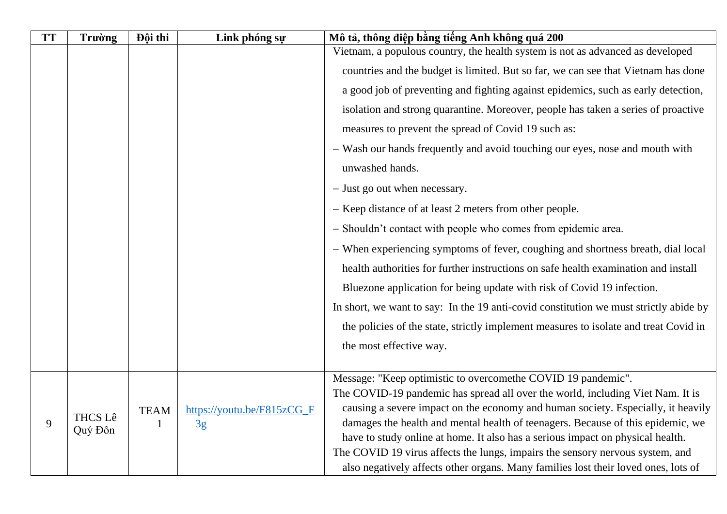| <b>TT</b> | Trường         | Đội thi     | Link phóng sự              | Mô tả, thông điệp bằng tiếng Anh không quá 200                                                                                                                      |
|-----------|----------------|-------------|----------------------------|---------------------------------------------------------------------------------------------------------------------------------------------------------------------|
|           |                |             |                            | Vietnam, a populous country, the health system is not as advanced as developed                                                                                      |
|           |                |             |                            | countries and the budget is limited. But so far, we can see that Vietnam has done                                                                                   |
|           |                |             |                            | a good job of preventing and fighting against epidemics, such as early detection,                                                                                   |
|           |                |             |                            | isolation and strong quarantine. Moreover, people has taken a series of proactive                                                                                   |
|           |                |             |                            | measures to prevent the spread of Covid 19 such as:                                                                                                                 |
|           |                |             |                            | - Wash our hands frequently and avoid touching our eyes, nose and mouth with                                                                                        |
|           |                |             |                            | unwashed hands.                                                                                                                                                     |
|           |                |             |                            | - Just go out when necessary.                                                                                                                                       |
|           |                |             |                            | - Keep distance of at least 2 meters from other people.                                                                                                             |
|           |                |             |                            | - Shouldn't contact with people who comes from epidemic area.                                                                                                       |
|           |                |             |                            | - When experiencing symptoms of fever, coughing and shortness breath, dial local                                                                                    |
|           |                |             |                            | health authorities for further instructions on safe health examination and install                                                                                  |
|           |                |             |                            | Bluezone application for being update with risk of Covid 19 infection.                                                                                              |
|           |                |             |                            | In short, we want to say: In the 19 anti-covid constitution we must strictly abide by                                                                               |
|           |                |             |                            | the policies of the state, strictly implement measures to isolate and treat Covid in                                                                                |
|           |                |             |                            | the most effective way.                                                                                                                                             |
|           |                |             |                            |                                                                                                                                                                     |
|           |                |             |                            | Message: "Keep optimistic to overcomethe COVID 19 pandemic".                                                                                                        |
|           |                |             |                            | The COVID-19 pandemic has spread all over the world, including Viet Nam. It is                                                                                      |
| 9         | <b>THCS Lê</b> | <b>TEAM</b> | https://youtu.be/F815zCG_F | causing a severe impact on the economy and human society. Especially, it heavily<br>damages the health and mental health of teenagers. Because of this epidemic, we |
|           | Quý Đôn        |             | $\frac{3g}{2}$             | have to study online at home. It also has a serious impact on physical health.                                                                                      |
|           |                |             |                            | The COVID 19 virus affects the lungs, impairs the sensory nervous system, and                                                                                       |
|           |                |             |                            | also negatively affects other organs. Many families lost their loved ones, lots of                                                                                  |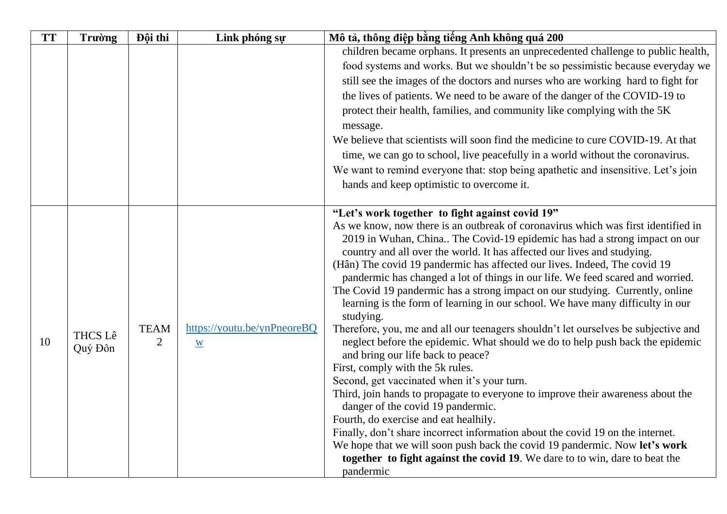| <b>TT</b> | <b>Trường</b>             | Đội thi                                                                                                                                                     | Link phóng sự | Mô tả, thông điệp bằng tiếng Anh không quá 200                                     |
|-----------|---------------------------|-------------------------------------------------------------------------------------------------------------------------------------------------------------|---------------|------------------------------------------------------------------------------------|
|           |                           |                                                                                                                                                             |               | children became orphans. It presents an unprecedented challenge to public health,  |
|           |                           |                                                                                                                                                             |               | food systems and works. But we shouldn't be so pessimistic because everyday we     |
|           |                           |                                                                                                                                                             |               | still see the images of the doctors and nurses who are working hard to fight for   |
|           |                           |                                                                                                                                                             |               | the lives of patients. We need to be aware of the danger of the COVID-19 to        |
|           |                           |                                                                                                                                                             |               | protect their health, families, and community like complying with the 5K           |
|           |                           |                                                                                                                                                             |               | message.                                                                           |
|           |                           |                                                                                                                                                             |               | We believe that scientists will soon find the medicine to cure COVID-19. At that   |
|           |                           |                                                                                                                                                             |               | time, we can go to school, live peacefully in a world without the coronavirus.     |
|           |                           |                                                                                                                                                             |               | We want to remind everyone that: stop being apathetic and insensitive. Let's join  |
|           |                           |                                                                                                                                                             |               | hands and keep optimistic to overcome it.                                          |
|           |                           |                                                                                                                                                             |               |                                                                                    |
|           |                           |                                                                                                                                                             |               | "Let's work together to fight against covid 19"                                    |
|           |                           |                                                                                                                                                             |               | As we know, now there is an outbreak of coronavirus which was first identified in  |
|           |                           |                                                                                                                                                             |               | 2019 in Wuhan, China The Covid-19 epidemic has had a strong impact on our          |
|           |                           |                                                                                                                                                             |               | country and all over the world. It has affected our lives and studying.            |
|           |                           | (Hân) The covid 19 pandermic has affected our lives. Indeed, The covid 19<br>pandermic has changed a lot of things in our life. We feed scared and worried. |               |                                                                                    |
|           |                           |                                                                                                                                                             |               | The Covid 19 pandermic has a strong impact on our studying. Currently, online      |
|           |                           |                                                                                                                                                             |               | learning is the form of learning in our school. We have many difficulty in our     |
|           |                           | https://youtu.be/ynPneoreBQ<br><b>TEAM</b><br>$\overline{2}$<br>$\underline{\mathbf{W}}$                                                                    | studying.     |                                                                                    |
|           | <b>THCS Lê</b><br>Quý Đôn |                                                                                                                                                             |               | Therefore, you, me and all our teenagers shouldn't let ourselves be subjective and |
| 10        |                           |                                                                                                                                                             |               | neglect before the epidemic. What should we do to help push back the epidemic      |
|           |                           |                                                                                                                                                             |               | and bring our life back to peace?<br>First, comply with the 5k rules.              |
|           |                           |                                                                                                                                                             |               | Second, get vaccinated when it's your turn.                                        |
|           |                           |                                                                                                                                                             |               | Third, join hands to propagate to everyone to improve their awareness about the    |
|           |                           |                                                                                                                                                             |               | danger of the covid 19 pandermic.                                                  |
|           |                           |                                                                                                                                                             |               | Fourth, do exercise and eat healhily.                                              |
|           |                           |                                                                                                                                                             |               | Finally, don't share incorrect information about the covid 19 on the internet.     |
|           |                           |                                                                                                                                                             |               | We hope that we will soon push back the covid 19 pandermic. Now let's work         |
|           |                           |                                                                                                                                                             |               | together to fight against the covid 19. We dare to to win, dare to beat the        |
|           |                           |                                                                                                                                                             |               | pandermic                                                                          |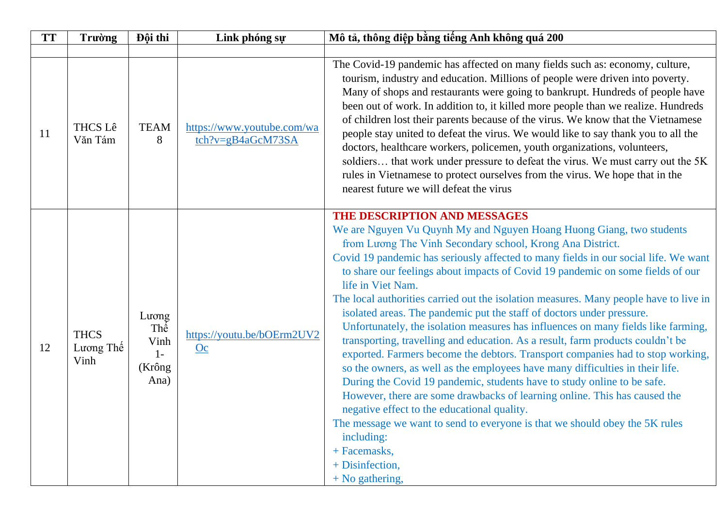| <b>TT</b> | Trường                           | Đội thi                                         | Link phóng sự                                   | Mô tả, thông điệp bằng tiếng Anh không quá 200                                                                                                                                                                                                                                                                                                                                                                                                                                                                                                                                                                                                                                                                                                                                                                                                                                                                                                                                                                                                                                                                                                                                                                                          |
|-----------|----------------------------------|-------------------------------------------------|-------------------------------------------------|-----------------------------------------------------------------------------------------------------------------------------------------------------------------------------------------------------------------------------------------------------------------------------------------------------------------------------------------------------------------------------------------------------------------------------------------------------------------------------------------------------------------------------------------------------------------------------------------------------------------------------------------------------------------------------------------------------------------------------------------------------------------------------------------------------------------------------------------------------------------------------------------------------------------------------------------------------------------------------------------------------------------------------------------------------------------------------------------------------------------------------------------------------------------------------------------------------------------------------------------|
|           |                                  |                                                 |                                                 |                                                                                                                                                                                                                                                                                                                                                                                                                                                                                                                                                                                                                                                                                                                                                                                                                                                                                                                                                                                                                                                                                                                                                                                                                                         |
| 11        | <b>THCS Lê</b><br>Văn Tám        | <b>TEAM</b><br>8                                | https://www.youtube.com/wa<br>tch?v=gB4aGcM73SA | The Covid-19 pandemic has affected on many fields such as: economy, culture,<br>tourism, industry and education. Millions of people were driven into poverty.<br>Many of shops and restaurants were going to bankrupt. Hundreds of people have<br>been out of work. In addition to, it killed more people than we realize. Hundreds<br>of children lost their parents because of the virus. We know that the Vietnamese<br>people stay united to defeat the virus. We would like to say thank you to all the<br>doctors, healthcare workers, policemen, youth organizations, volunteers,<br>soldiers that work under pressure to defeat the virus. We must carry out the 5K<br>rules in Vietnamese to protect ourselves from the virus. We hope that in the<br>nearest future we will defeat the virus                                                                                                                                                                                                                                                                                                                                                                                                                                  |
| 12        | <b>THCS</b><br>Lương Thế<br>Vinh | Lương<br>Thế<br>Vinh<br>$1 -$<br>(Krông<br>Ana) | https://youtu.be/bOErm2UV2<br><b>Oc</b>         | THE DESCRIPTION AND MESSAGES<br>We are Nguyen Vu Quynh My and Nguyen Hoang Huong Giang, two students<br>from Luong The Vinh Secondary school, Krong Ana District.<br>Covid 19 pandemic has seriously affected to many fields in our social life. We want<br>to share our feelings about impacts of Covid 19 pandemic on some fields of our<br>life in Viet Nam.<br>The local authorities carried out the isolation measures. Many people have to live in<br>isolated areas. The pandemic put the staff of doctors under pressure.<br>Unfortunately, the isolation measures has influences on many fields like farming,<br>transporting, travelling and education. As a result, farm products couldn't be<br>exported. Farmers become the debtors. Transport companies had to stop working,<br>so the owners, as well as the employees have many difficulties in their life.<br>During the Covid 19 pandemic, students have to study online to be safe.<br>However, there are some drawbacks of learning online. This has caused the<br>negative effect to the educational quality.<br>The message we want to send to everyone is that we should obey the 5K rules<br>including:<br>+ Facemasks,<br>+ Disinfection,<br>$+$ No gathering, |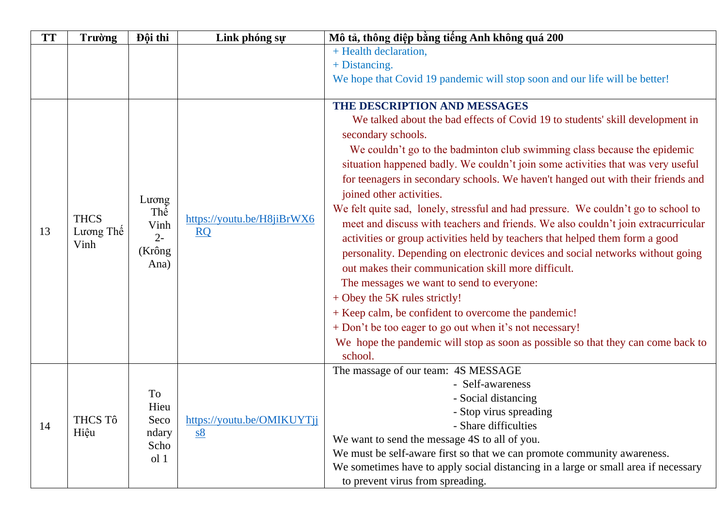| <b>TT</b> | <b>Trường</b> | Đội thi                         | Link phóng sự                                  | Mô tả, thông điệp bằng tiếng Anh không quá 200                                     |
|-----------|---------------|---------------------------------|------------------------------------------------|------------------------------------------------------------------------------------|
|           |               |                                 |                                                | + Health declaration,                                                              |
|           |               |                                 |                                                | + Distancing.                                                                      |
|           |               |                                 |                                                | We hope that Covid 19 pandemic will stop soon and our life will be better!         |
|           |               |                                 |                                                |                                                                                    |
|           |               |                                 |                                                | THE DESCRIPTION AND MESSAGES                                                       |
|           |               |                                 |                                                | We talked about the bad effects of Covid 19 to students' skill development in      |
|           |               |                                 |                                                | secondary schools.                                                                 |
|           |               |                                 |                                                | We couldn't go to the badminton club swimming class because the epidemic           |
|           |               |                                 |                                                | situation happened badly. We couldn't join some activities that was very useful    |
|           |               |                                 |                                                | for teenagers in secondary schools. We haven't hanged out with their friends and   |
|           |               | Lương                           |                                                | joined other activities.                                                           |
|           |               | Thê                             |                                                | We felt quite sad, lonely, stressful and had pressure. We couldn't go to school to |
|           | <b>THCS</b>   | Vinh<br>$2 -$<br>(Krông<br>Ana) | https://youtu.be/H8jiBrWX6<br>$\underline{RQ}$ | meet and discuss with teachers and friends. We also couldn't join extracurricular  |
| 13        | Lương Thê     |                                 |                                                | activities or group activities held by teachers that helped them form a good       |
|           | Vinh          |                                 |                                                | personality. Depending on electronic devices and social networks without going     |
|           |               |                                 |                                                | out makes their communication skill more difficult.                                |
|           |               |                                 |                                                | The messages we want to send to everyone:                                          |
|           |               |                                 |                                                | + Obey the 5K rules strictly!                                                      |
|           |               |                                 |                                                | + Keep calm, be confident to overcome the pandemic!                                |
|           |               |                                 |                                                | + Don't be too eager to go out when it's not necessary!                            |
|           |               |                                 |                                                | We hope the pandemic will stop as soon as possible so that they can come back to   |
|           |               |                                 |                                                | school.                                                                            |
|           |               |                                 |                                                | The massage of our team: 4S MESSAGE                                                |
|           |               |                                 |                                                | - Self-awareness                                                                   |
|           |               | To                              |                                                | - Social distancing                                                                |
|           | THCS Tô       | Hieu<br>Seco                    | https://youtu.be/OMIKUYTjj                     | - Stop virus spreading                                                             |
| 14        | Hiệu          | ndary                           | <u>s8</u>                                      | - Share difficulties                                                               |
|           |               | Scho                            |                                                | We want to send the message 4S to all of you.                                      |
|           |               | ol <sub>1</sub>                 |                                                | We must be self-aware first so that we can promote community awareness.            |
|           |               |                                 |                                                | We sometimes have to apply social distancing in a large or small area if necessary |
|           |               |                                 |                                                | to prevent virus from spreading.                                                   |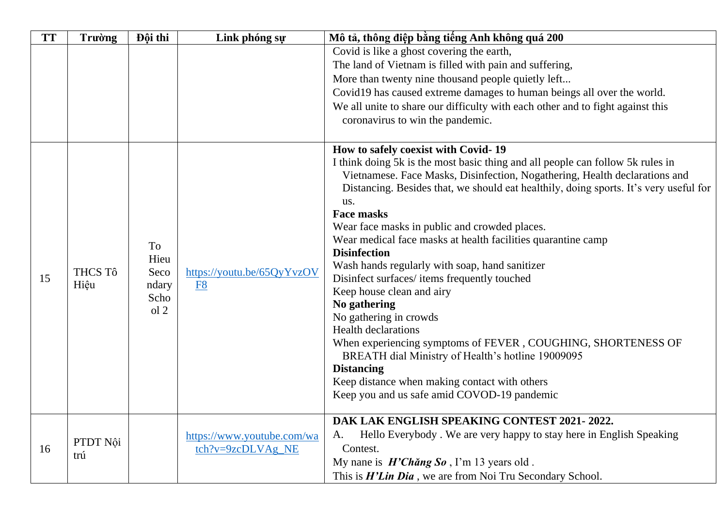| <b>TT</b> | <b>Trường</b>                                                                                     | Đội thi                                                                               | Link phóng sự              | Mô tả, thông điệp bằng tiếng Anh không quá 200                                 |
|-----------|---------------------------------------------------------------------------------------------------|---------------------------------------------------------------------------------------|----------------------------|--------------------------------------------------------------------------------|
|           |                                                                                                   |                                                                                       |                            | Covid is like a ghost covering the earth,                                      |
|           |                                                                                                   |                                                                                       |                            | The land of Vietnam is filled with pain and suffering,                         |
|           |                                                                                                   |                                                                                       |                            | More than twenty nine thousand people quietly left                             |
|           |                                                                                                   |                                                                                       |                            | Covid19 has caused extreme damages to human beings all over the world.         |
|           |                                                                                                   |                                                                                       |                            | We all unite to share our difficulty with each other and to fight against this |
|           |                                                                                                   |                                                                                       |                            | coronavirus to win the pandemic.                                               |
|           |                                                                                                   |                                                                                       |                            | How to safely coexist with Covid-19                                            |
|           |                                                                                                   |                                                                                       |                            | I think doing 5k is the most basic thing and all people can follow 5k rules in |
|           |                                                                                                   |                                                                                       |                            | Vietnamese. Face Masks, Disinfection, Nogathering, Health declarations and     |
|           | To<br>Hieu<br><b>THCS Tô</b><br>Seco<br>https://youtu.be/65QyYvzOV<br>Hiệu<br>ndary<br>F8<br>Scho | Distancing. Besides that, we should eat healthily, doing sports. It's very useful for |                            |                                                                                |
|           |                                                                                                   |                                                                                       |                            | us.                                                                            |
|           |                                                                                                   |                                                                                       |                            | <b>Face masks</b><br>Wear face masks in public and crowded places.             |
|           |                                                                                                   |                                                                                       |                            | Wear medical face masks at health facilities quarantine camp                   |
|           |                                                                                                   |                                                                                       |                            | <b>Disinfection</b>                                                            |
|           |                                                                                                   |                                                                                       |                            | Wash hands regularly with soap, hand sanitizer                                 |
| 15        |                                                                                                   |                                                                                       |                            | Disinfect surfaces/items frequently touched                                    |
|           |                                                                                                   |                                                                                       |                            | Keep house clean and airy                                                      |
|           |                                                                                                   |                                                                                       |                            | No gathering                                                                   |
|           |                                                                                                   | ol <sub>2</sub>                                                                       |                            | No gathering in crowds                                                         |
|           |                                                                                                   |                                                                                       |                            | <b>Health declarations</b>                                                     |
|           |                                                                                                   |                                                                                       |                            | When experiencing symptoms of FEVER, COUGHING, SHORTENESS OF                   |
|           |                                                                                                   |                                                                                       |                            | BREATH dial Ministry of Health's hotline 19009095                              |
|           |                                                                                                   |                                                                                       |                            | <b>Distancing</b>                                                              |
|           |                                                                                                   |                                                                                       |                            | Keep distance when making contact with others                                  |
|           |                                                                                                   |                                                                                       |                            | Keep you and us safe amid COVOD-19 pandemic                                    |
|           |                                                                                                   |                                                                                       |                            | DAK LAK ENGLISH SPEAKING CONTEST 2021-2022.                                    |
|           | PTDT Nội                                                                                          |                                                                                       | https://www.youtube.com/wa | Hello Everybody. We are very happy to stay here in English Speaking<br>А.      |
| 16        | trú                                                                                               |                                                                                       | tch?v=9zcDLVAg NE          | Contest.                                                                       |
|           |                                                                                                   |                                                                                       |                            | My nane is $H'Ch\check{a}ng So$ , I'm 13 years old.                            |
|           |                                                                                                   |                                                                                       |                            | This is <i>H'Lin Dia</i> , we are from Noi Tru Secondary School.               |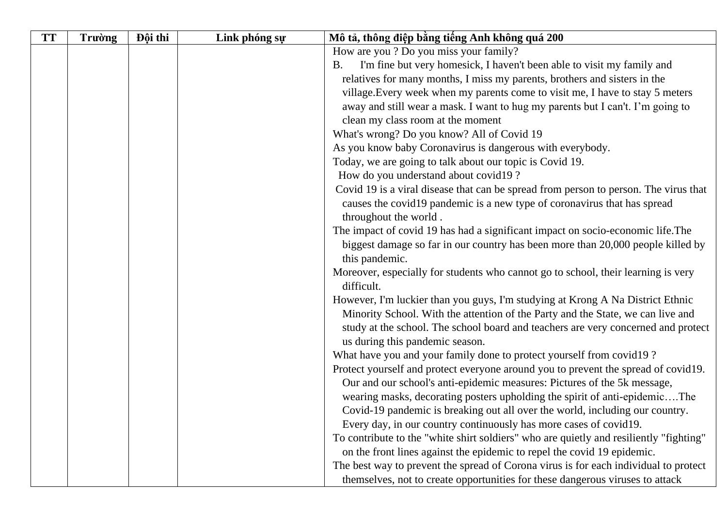| <b>TT</b> | Trường | Đội thi | Link phóng sự | Mô tả, thông điệp bằng tiếng Anh không quá 200                                         |
|-----------|--------|---------|---------------|----------------------------------------------------------------------------------------|
|           |        |         |               | How are you? Do you miss your family?                                                  |
|           |        |         |               | I'm fine but very homesick, I haven't been able to visit my family and<br>Β.           |
|           |        |         |               | relatives for many months, I miss my parents, brothers and sisters in the              |
|           |        |         |               | village. Every week when my parents come to visit me, I have to stay 5 meters          |
|           |        |         |               | away and still wear a mask. I want to hug my parents but I can't. I'm going to         |
|           |        |         |               | clean my class room at the moment                                                      |
|           |        |         |               | What's wrong? Do you know? All of Covid 19                                             |
|           |        |         |               | As you know baby Coronavirus is dangerous with everybody.                              |
|           |        |         |               | Today, we are going to talk about our topic is Covid 19.                               |
|           |        |         |               | How do you understand about covid19?                                                   |
|           |        |         |               | Covid 19 is a viral disease that can be spread from person to person. The virus that   |
|           |        |         |               | causes the covid19 pandemic is a new type of coronavirus that has spread               |
|           |        |         |               | throughout the world.                                                                  |
|           |        |         |               | The impact of covid 19 has had a significant impact on socio-economic life. The        |
|           |        |         |               | biggest damage so far in our country has been more than 20,000 people killed by        |
|           |        |         |               | this pandemic.                                                                         |
|           |        |         |               | Moreover, especially for students who cannot go to school, their learning is very      |
|           |        |         |               | difficult.                                                                             |
|           |        |         |               | However, I'm luckier than you guys, I'm studying at Krong A Na District Ethnic         |
|           |        |         |               | Minority School. With the attention of the Party and the State, we can live and        |
|           |        |         |               | study at the school. The school board and teachers are very concerned and protect      |
|           |        |         |               | us during this pandemic season.                                                        |
|           |        |         |               | What have you and your family done to protect yourself from covid 19?                  |
|           |        |         |               | Protect yourself and protect everyone around you to prevent the spread of covid19.     |
|           |        |         |               | Our and our school's anti-epidemic measures: Pictures of the 5k message,               |
|           |        |         |               | wearing masks, decorating posters upholding the spirit of anti-epidemicThe             |
|           |        |         |               | Covid-19 pandemic is breaking out all over the world, including our country.           |
|           |        |         |               | Every day, in our country continuously has more cases of covid19.                      |
|           |        |         |               | To contribute to the "white shirt soldiers" who are quietly and resiliently "fighting" |
|           |        |         |               | on the front lines against the epidemic to repel the covid 19 epidemic.                |
|           |        |         |               | The best way to prevent the spread of Corona virus is for each individual to protect   |
|           |        |         |               | themselves, not to create opportunities for these dangerous viruses to attack          |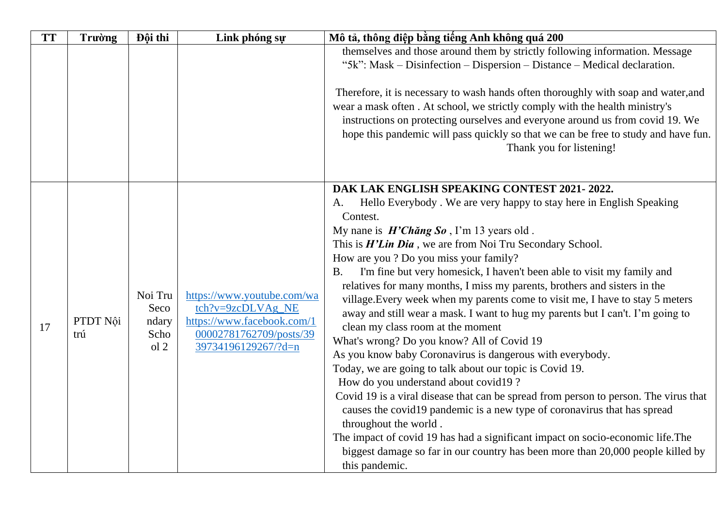| <b>TT</b> | <b>Trường</b>   | Đội thi                                             | Link phóng sự                                                                                            | Mô tả, thông điệp bằng tiếng Anh không quá 200                                                                                                                                                                                                                                                                                                                                                                             |
|-----------|-----------------|-----------------------------------------------------|----------------------------------------------------------------------------------------------------------|----------------------------------------------------------------------------------------------------------------------------------------------------------------------------------------------------------------------------------------------------------------------------------------------------------------------------------------------------------------------------------------------------------------------------|
|           |                 |                                                     |                                                                                                          | themselves and those around them by strictly following information. Message                                                                                                                                                                                                                                                                                                                                                |
|           |                 |                                                     |                                                                                                          | "5k": Mask – Disinfection – Dispersion – Distance – Medical declaration.                                                                                                                                                                                                                                                                                                                                                   |
|           |                 |                                                     |                                                                                                          | Therefore, it is necessary to wash hands often thoroughly with soap and water, and<br>wear a mask often. At school, we strictly comply with the health ministry's<br>instructions on protecting ourselves and everyone around us from covid 19. We<br>hope this pandemic will pass quickly so that we can be free to study and have fun.<br>Thank you for listening!                                                       |
|           |                 |                                                     |                                                                                                          | DAK LAK ENGLISH SPEAKING CONTEST 2021-2022.                                                                                                                                                                                                                                                                                                                                                                                |
|           |                 | Noi Tru<br>Seco<br>ndary<br>Scho<br>ol <sub>2</sub> |                                                                                                          | Hello Everybody. We are very happy to stay here in English Speaking<br>A.<br>Contest.                                                                                                                                                                                                                                                                                                                                      |
|           |                 |                                                     |                                                                                                          | My nane is $H'Ch\breve{\omega}$ and $S\omega$ , I'm 13 years old.                                                                                                                                                                                                                                                                                                                                                          |
|           |                 |                                                     |                                                                                                          | This is <i>H'Lin Dia</i> , we are from Noi Tru Secondary School.                                                                                                                                                                                                                                                                                                                                                           |
|           |                 |                                                     |                                                                                                          | How are you ? Do you miss your family?                                                                                                                                                                                                                                                                                                                                                                                     |
|           |                 |                                                     |                                                                                                          | I'm fine but very homesick, I haven't been able to visit my family and<br><b>B.</b>                                                                                                                                                                                                                                                                                                                                        |
|           |                 |                                                     | https://www.youtube.com/wa<br>tch?v=9zcDLVAg_NE<br>https://www.facebook.com/1<br>00002781762709/posts/39 | relatives for many months, I miss my parents, brothers and sisters in the                                                                                                                                                                                                                                                                                                                                                  |
|           |                 |                                                     |                                                                                                          | village. Every week when my parents come to visit me, I have to stay 5 meters                                                                                                                                                                                                                                                                                                                                              |
|           | PTDT Nội<br>trú |                                                     |                                                                                                          | away and still wear a mask. I want to hug my parents but I can't. I'm going to                                                                                                                                                                                                                                                                                                                                             |
| 17        |                 |                                                     |                                                                                                          | clean my class room at the moment                                                                                                                                                                                                                                                                                                                                                                                          |
|           |                 |                                                     | 39734196129267/?d=n                                                                                      | What's wrong? Do you know? All of Covid 19                                                                                                                                                                                                                                                                                                                                                                                 |
|           |                 |                                                     |                                                                                                          | As you know baby Coronavirus is dangerous with everybody.                                                                                                                                                                                                                                                                                                                                                                  |
|           |                 |                                                     |                                                                                                          | Today, we are going to talk about our topic is Covid 19.                                                                                                                                                                                                                                                                                                                                                                   |
|           |                 |                                                     |                                                                                                          |                                                                                                                                                                                                                                                                                                                                                                                                                            |
|           |                 |                                                     |                                                                                                          |                                                                                                                                                                                                                                                                                                                                                                                                                            |
|           |                 |                                                     |                                                                                                          |                                                                                                                                                                                                                                                                                                                                                                                                                            |
|           |                 |                                                     |                                                                                                          |                                                                                                                                                                                                                                                                                                                                                                                                                            |
|           |                 |                                                     |                                                                                                          |                                                                                                                                                                                                                                                                                                                                                                                                                            |
|           |                 |                                                     |                                                                                                          |                                                                                                                                                                                                                                                                                                                                                                                                                            |
|           |                 |                                                     |                                                                                                          | How do you understand about covid19?<br>Covid 19 is a viral disease that can be spread from person to person. The virus that<br>causes the covid 19 pandemic is a new type of coronavirus that has spread<br>throughout the world.<br>The impact of covid 19 has had a significant impact on socio-economic life. The<br>biggest damage so far in our country has been more than 20,000 people killed by<br>this pandemic. |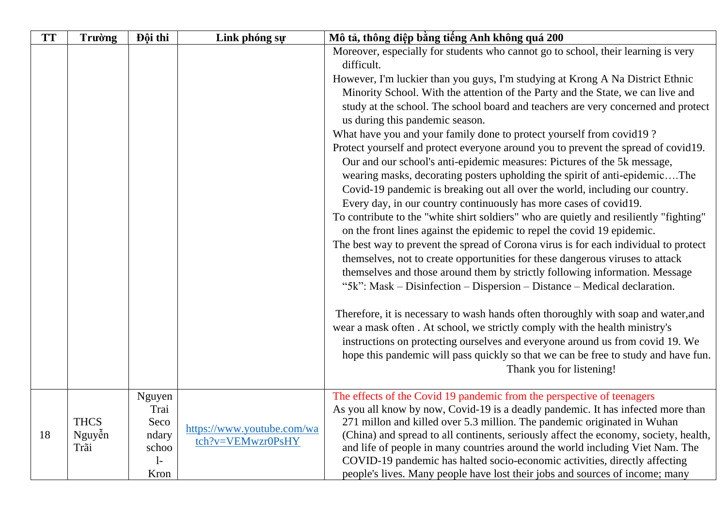| <b>TT</b> | <b>Trường</b>  | Đội thi       | Link phóng sự              | Mô tả, thông điệp bằng tiếng Anh không quá 200                                                                                                                                                                                                                                                                                   |
|-----------|----------------|---------------|----------------------------|----------------------------------------------------------------------------------------------------------------------------------------------------------------------------------------------------------------------------------------------------------------------------------------------------------------------------------|
|           |                |               |                            | Moreover, especially for students who cannot go to school, their learning is very                                                                                                                                                                                                                                                |
|           |                |               |                            | difficult.                                                                                                                                                                                                                                                                                                                       |
|           |                |               |                            | However, I'm luckier than you guys, I'm studying at Krong A Na District Ethnic                                                                                                                                                                                                                                                   |
|           |                |               |                            | Minority School. With the attention of the Party and the State, we can live and                                                                                                                                                                                                                                                  |
|           |                |               |                            | study at the school. The school board and teachers are very concerned and protect<br>us during this pandemic season.                                                                                                                                                                                                             |
|           |                |               |                            | What have you and your family done to protect yourself from covid 19?                                                                                                                                                                                                                                                            |
|           |                |               |                            | Protect yourself and protect everyone around you to prevent the spread of covid19.                                                                                                                                                                                                                                               |
|           |                |               |                            | Our and our school's anti-epidemic measures: Pictures of the 5k message,<br>wearing masks, decorating posters upholding the spirit of anti-epidemicThe<br>Covid-19 pandemic is breaking out all over the world, including our country.<br>Every day, in our country continuously has more cases of covid19.                      |
|           |                |               |                            | To contribute to the "white shirt soldiers" who are quietly and resiliently "fighting"<br>on the front lines against the epidemic to repel the covid 19 epidemic.                                                                                                                                                                |
|           |                |               |                            | The best way to prevent the spread of Corona virus is for each individual to protect<br>themselves, not to create opportunities for these dangerous viruses to attack<br>themselves and those around them by strictly following information. Message<br>"5k": Mask – Disinfection – Dispersion – Distance – Medical declaration. |
|           |                |               |                            | Therefore, it is necessary to wash hands often thoroughly with soap and water, and<br>wear a mask often. At school, we strictly comply with the health ministry's<br>instructions on protecting ourselves and everyone around us from covid 19. We                                                                               |
|           |                |               |                            | hope this pandemic will pass quickly so that we can be free to study and have fun.<br>Thank you for listening!                                                                                                                                                                                                                   |
|           |                | Nguyen        |                            | The effects of the Covid 19 pandemic from the perspective of teenagers                                                                                                                                                                                                                                                           |
|           |                | Trai          |                            | As you all know by now, Covid-19 is a deadly pandemic. It has infected more than                                                                                                                                                                                                                                                 |
|           | <b>THCS</b>    | Seco          | https://www.youtube.com/wa | 271 millon and killed over 5.3 million. The pandemic originated in Wuhan                                                                                                                                                                                                                                                         |
| 18        | Nguyễn<br>Trãi | ndary         | tch?v=VEMwzr0PsHY          | (China) and spread to all continents, seriously affect the economy, society, health,                                                                                                                                                                                                                                             |
|           |                | schoo<br>$1-$ |                            | and life of people in many countries around the world including Viet Nam. The<br>COVID-19 pandemic has halted socio-economic activities, directly affecting                                                                                                                                                                      |
|           |                | Kron          |                            | people's lives. Many people have lost their jobs and sources of income; many                                                                                                                                                                                                                                                     |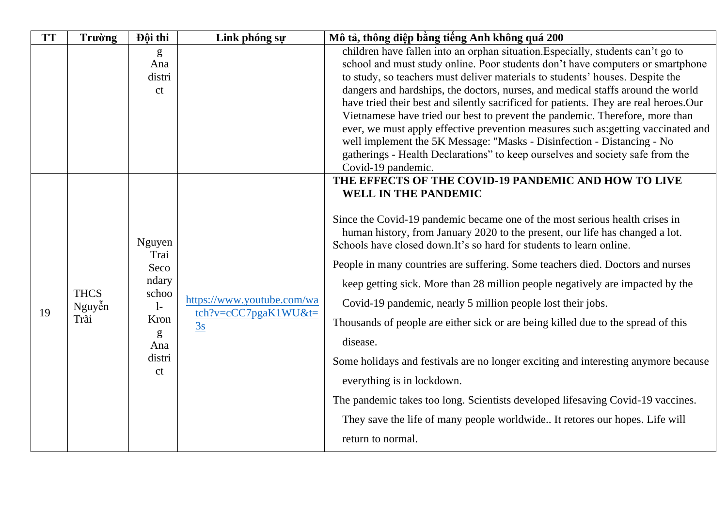| <b>TT</b> | <b>Trường</b>                 | Đội thi                                                                                      | Link phóng sự                                                                  | Mô tả, thông điệp bằng tiếng Anh không quá 200                                                                                                                                                                                                                                                                                                                                                                                                                                                                                                                                                                                                                                                                                                                                                                                                                                                                                                                           |
|-----------|-------------------------------|----------------------------------------------------------------------------------------------|--------------------------------------------------------------------------------|--------------------------------------------------------------------------------------------------------------------------------------------------------------------------------------------------------------------------------------------------------------------------------------------------------------------------------------------------------------------------------------------------------------------------------------------------------------------------------------------------------------------------------------------------------------------------------------------------------------------------------------------------------------------------------------------------------------------------------------------------------------------------------------------------------------------------------------------------------------------------------------------------------------------------------------------------------------------------|
|           |                               | g<br>Ana<br>distri                                                                           |                                                                                | children have fallen into an orphan situation. Especially, students can't go to<br>school and must study online. Poor students don't have computers or smartphone<br>to study, so teachers must deliver materials to students' houses. Despite the                                                                                                                                                                                                                                                                                                                                                                                                                                                                                                                                                                                                                                                                                                                       |
|           |                               | ct                                                                                           |                                                                                | dangers and hardships, the doctors, nurses, and medical staffs around the world<br>have tried their best and silently sacrificed for patients. They are real heroes. Our<br>Vietnamese have tried our best to prevent the pandemic. Therefore, more than<br>ever, we must apply effective prevention measures such as: getting vaccinated and<br>well implement the 5K Message: "Masks - Disinfection - Distancing - No<br>gatherings - Health Declarations" to keep ourselves and society safe from the                                                                                                                                                                                                                                                                                                                                                                                                                                                                 |
|           |                               |                                                                                              |                                                                                | Covid-19 pandemic.                                                                                                                                                                                                                                                                                                                                                                                                                                                                                                                                                                                                                                                                                                                                                                                                                                                                                                                                                       |
| 19        | <b>THCS</b><br>Nguyễn<br>Trãi | Nguyen<br>Trai<br>Seco<br>ndary<br>schoo<br>$\mathbf{1}$<br>Kron<br>g<br>Ana<br>distri<br>ct | https://www.youtube.com/wa<br>$\text{tch}$ ?v=cCC7pgaK1WU&t=<br>$\frac{3s}{2}$ | THE EFFECTS OF THE COVID-19 PANDEMIC AND HOW TO LIVE<br><b>WELL IN THE PANDEMIC</b><br>Since the Covid-19 pandemic became one of the most serious health crises in<br>human history, from January 2020 to the present, our life has changed a lot.<br>Schools have closed down. It's so hard for students to learn online.<br>People in many countries are suffering. Some teachers died. Doctors and nurses<br>keep getting sick. More than 28 million people negatively are impacted by the<br>Covid-19 pandemic, nearly 5 million people lost their jobs.<br>Thousands of people are either sick or are being killed due to the spread of this<br>disease.<br>Some holidays and festivals are no longer exciting and interesting anymore because<br>everything is in lockdown.<br>The pandemic takes too long. Scientists developed lifesaving Covid-19 vaccines.<br>They save the life of many people worldwide It retores our hopes. Life will<br>return to normal. |